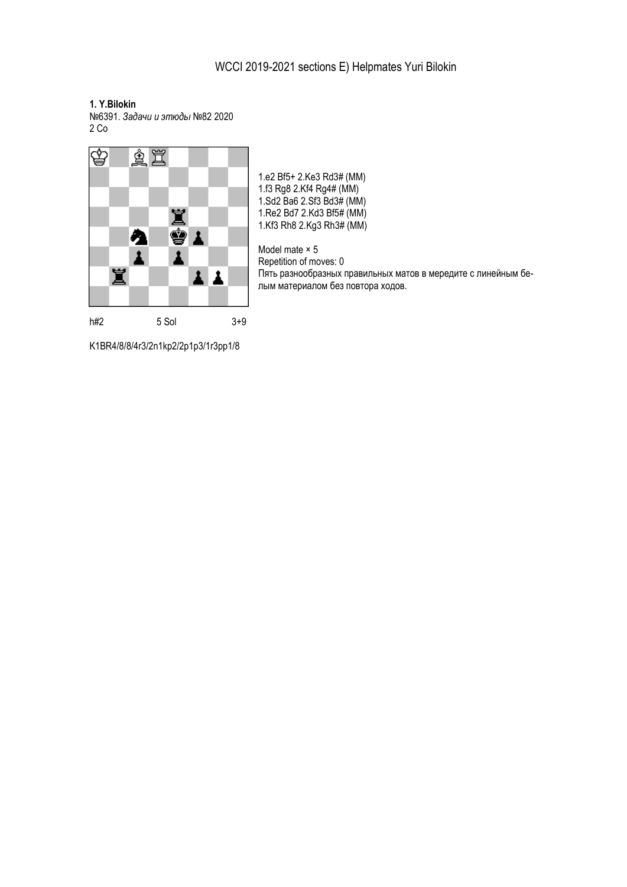**1. Y.Bilokin**

№6391. *Задачи и этюды* №82 2020 2 Со



1.e2 Bf5+ 2.Ke3 Rd3# (MM) 1.f3 Rg8 2.Kf4 Rg4# (MM) 1.Sd2 Ba6 2.Sf3 Bd3# (MM) 1.Re2 Bd7 2.Kd3 Bf5# (MM) 1.Kf3 Rh8 2.Kg3 Rh3# (MM)

Model mate × 5 Repetition of moves: 0 Пять разнообразных правильных матов в мередите с линейным белым материалом без повтора ходов.

K1BR4/8/8/4r3/2n1kp2/2p1p3/1r3pp1/8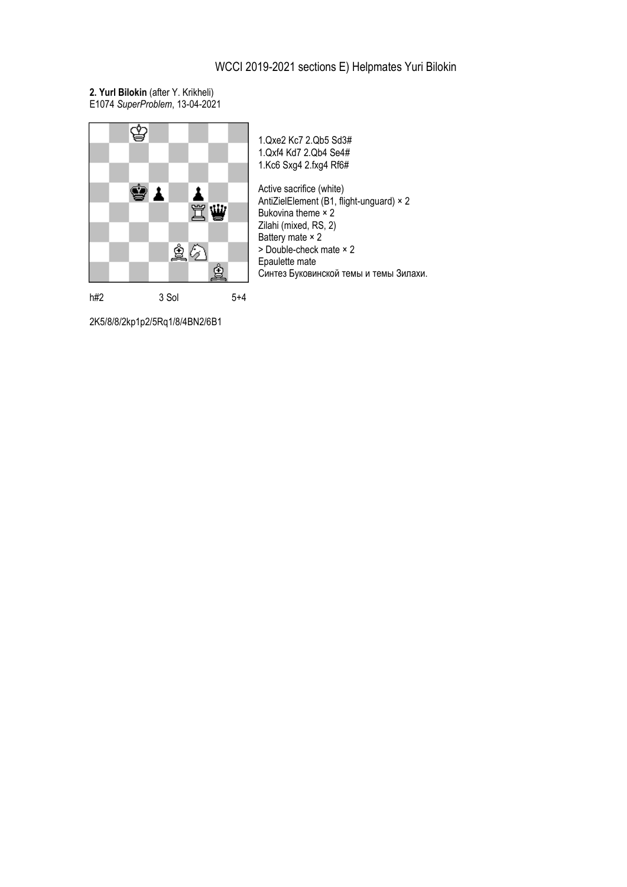## WCCI 2019-2021 sections E) Helpmates Yuri Bilokin

**2. Yurl Bilokin** (after Y. Krikheli) E1074 *SuperProblem*, 13-04-2021



1.Qxe2 Kc7 2.Qb5 Sd3# 1.Qxf4 Kd7 2.Qb4 Se4# 1.Kc6 Sxg4 2.fxg4 Rf6# Active sacrifice (white) AntiZielElement (B1, flight-unguard) × 2 Bukovina theme × 2 Zilahi (mixed, RS, 2) Battery mate × 2 > Double-check mate × 2 Epaulette mate Синтез Буковинской темы и темы Зилахи.

2K5/8/8/2kp1p2/5Rq1/8/4BN2/6B1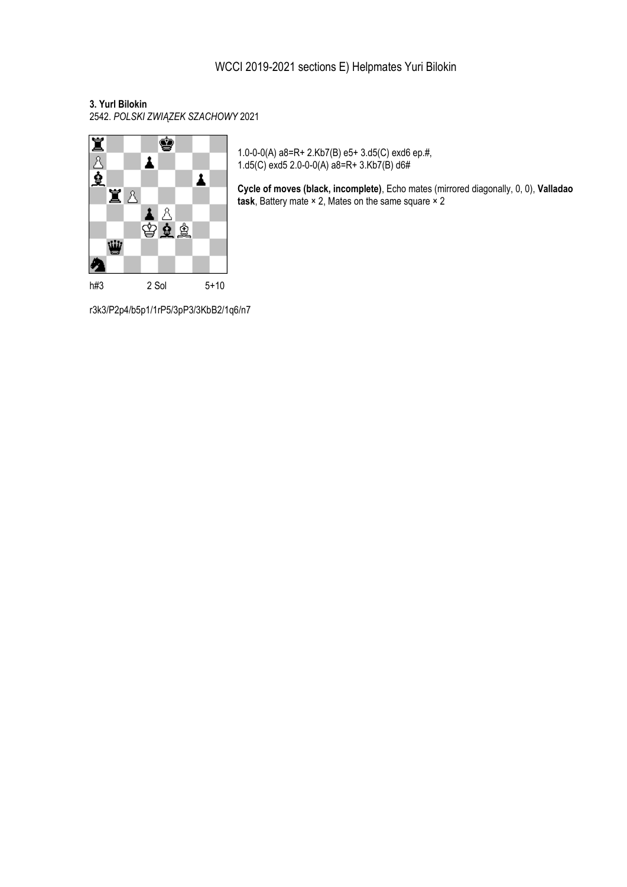## **3. Yurl Bilokin**

2542. *POLSKI ZWIĄZEK SZACHOWY* 2021



1.0-0-0(A) a8=R+ 2.Kb7(B) e5+ 3.d5(C) exd6 ep.#, 1.d5(C) exd5 2.0-0-0(A)  $a\dot{8}=R+3.Kb\dot{7}(B)$  d6#

**Cycle of moves (black, incomplete)**, Echo mates (mirrored diagonally, 0, 0), **Valladao task**, Battery mate × 2, Mates on the same square × 2

r3k3/P2p4/b5p1/1rP5/3pP3/3KbB2/1q6/n7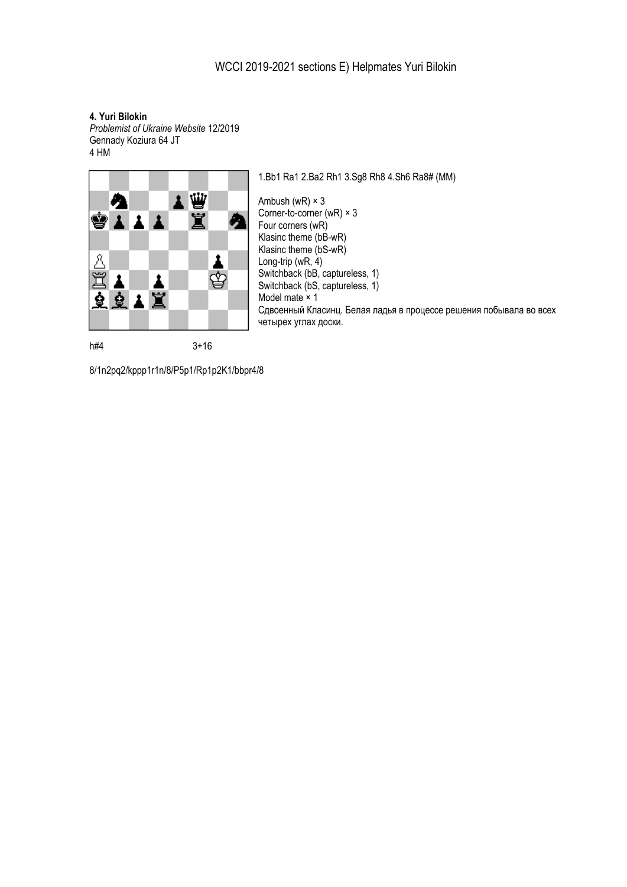**4. Yuri Bilokin**

*Problemist of Ukraine Website* 12/2019 Gennady Koziura 64 JT 4 HM



1.Bb1 Ra1 2.Ba2 Rh1 3.Sg8 Rh8 4.Sh6 Ra8# (MM)

Ambush (wR) × 3 Corner-to-corner (wR) × 3 Four corners (wR) Klasinc theme (bB-wR) Klasinc theme (bS-wR) Long-trip (wR,  $4$ ) Switchback (bB, captureless, 1) Switchback (bS, captureless, 1) Model mate × 1 Сдвоенный Класинц. Белая ладья в процессе решения побывала во всех четырех углах доски.

8/1n2pq2/kppp1r1n/8/P5p1/Rp1p2K1/bbpr4/8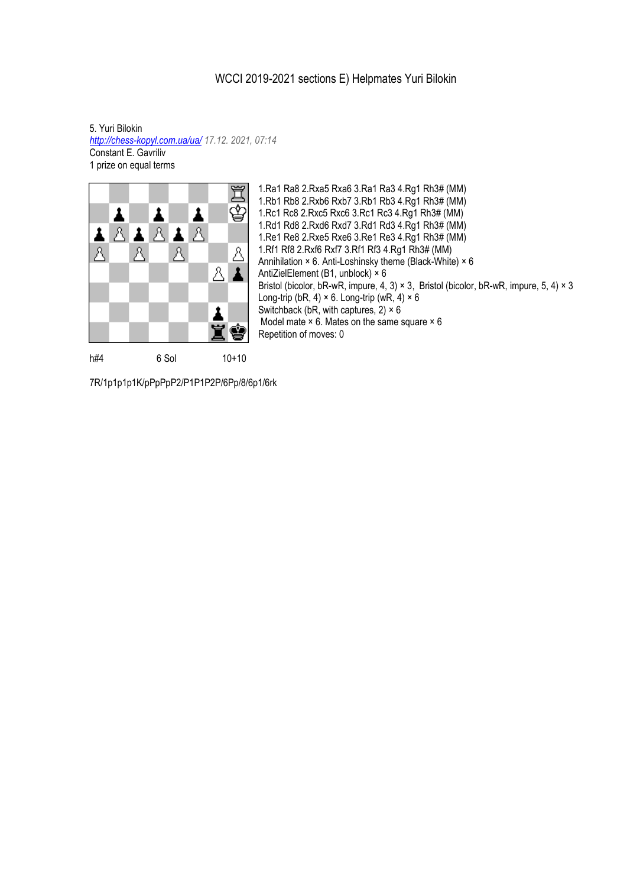## WCCI 2019-2021 sections E) Helpmates Yuri Bilokin

5. Yuri Bilokin *<http://chess-kopyl.com.ua/ua/> 17.12. 2021, 07:14* Constant E. Gavriliv 1 prize on equal terms



1.Ra1 Ra8 2.Rxa5 Rxa6 3.Ra1 Ra3 4.Rg1 Rh3# (MM) 1.Rb1 Rb8 2.Rxb6 Rxb7 3.Rb1 Rb3 4.Rg1 Rh3# (MM) 1.Rc1 Rc8 2.Rxc5 Rxc6 3.Rc1 Rc3 4.Rg1 Rh3# (MM) 1.Rd1 Rd8 2.Rxd6 Rxd7 3.Rd1 Rd3 4.Rg1 Rh3# (MM) 1.Re1 Re8 2.Rxe5 Rxe6 3.Re1 Re3 4.Rg1 Rh3# (MM) 1.Rf1 Rf8 2.Rxf6 Rxf7 3.Rf1 Rf3 4.Rg1 Rh3# (MM) Annihilation × 6. Anti-Loshinsky theme (Black-White) × 6 AntiZielElement (B1, unblock) × 6 Bristol (bicolor, bR-wR, impure, 4, 3)  $\times$  3, Bristol (bicolor, bR-wR, impure, 5, 4)  $\times$  3 Long-trip (bR, 4)  $\times$  6. Long-trip (wR, 4)  $\times$  6 Switchback (bR, with captures,  $2) \times 6$ Model mate  $\times$  6. Mates on the same square  $\times$  6 Repetition of moves: 0

7R/1p1p1p1K/pPpPpP2/P1P1P2P/6Pp/8/6p1/6rk